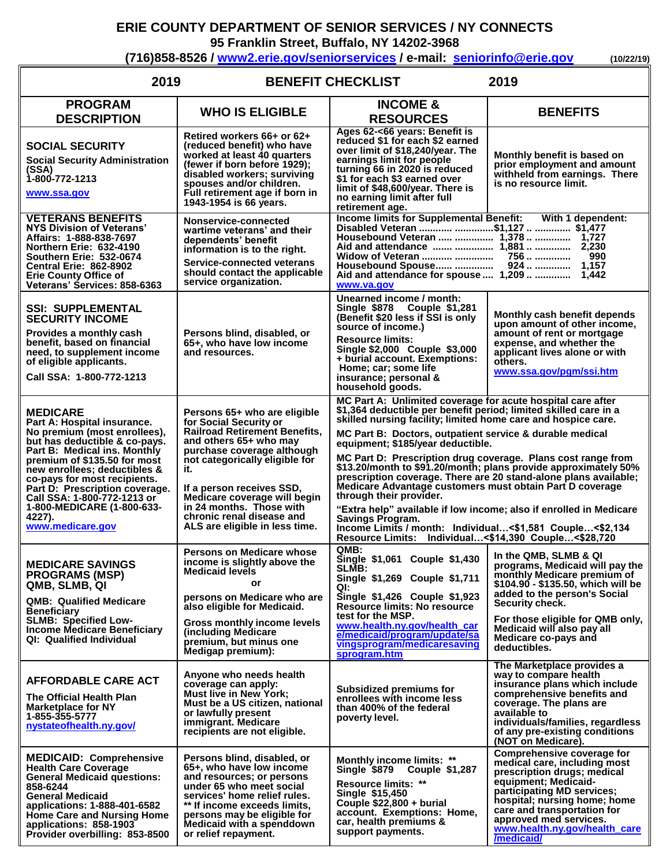## **ERIE COUNTY DEPARTMENT OF SENIOR SERVICES / NY CONNECTS**

**95 Franklin Street, Buffalo, NY 14202-3968**

**(716)858-8526 / [www2.erie.gov/seniorservices](mailto:www2.erie.gov/seniorservices) / e-mail: [seniorinfo@erie.gov](mailto:seniorinfo@erie.gov) (10/22/19)**

| 2019<br><b>BENEFIT CHECKLIST</b><br>2019                                                                                                                                                                                                                                                                                                                                     |                                                                                                                                                                                                                                                                                                                                                         |                                                                                                                                                                                                                                                                                                                                                                                                                                                                                                                                                                                                                                                                                                                                                   |                                                                                                                                                                                                                                                                                                                          |  |
|------------------------------------------------------------------------------------------------------------------------------------------------------------------------------------------------------------------------------------------------------------------------------------------------------------------------------------------------------------------------------|---------------------------------------------------------------------------------------------------------------------------------------------------------------------------------------------------------------------------------------------------------------------------------------------------------------------------------------------------------|---------------------------------------------------------------------------------------------------------------------------------------------------------------------------------------------------------------------------------------------------------------------------------------------------------------------------------------------------------------------------------------------------------------------------------------------------------------------------------------------------------------------------------------------------------------------------------------------------------------------------------------------------------------------------------------------------------------------------------------------------|--------------------------------------------------------------------------------------------------------------------------------------------------------------------------------------------------------------------------------------------------------------------------------------------------------------------------|--|
| <b>PROGRAM</b><br><b>DESCRIPTION</b>                                                                                                                                                                                                                                                                                                                                         | <b>WHO IS ELIGIBLE</b>                                                                                                                                                                                                                                                                                                                                  | <b>INCOME &amp;</b><br><b>RESOURCES</b>                                                                                                                                                                                                                                                                                                                                                                                                                                                                                                                                                                                                                                                                                                           | <b>BENEFITS</b>                                                                                                                                                                                                                                                                                                          |  |
| <b>SOCIAL SECURITY</b><br><b>Social Security Administration</b><br>(SSA)<br>1-800-772-1213<br>www.ssa.gov                                                                                                                                                                                                                                                                    | Retired workers 66+ or 62+<br>(reduced benefit) who have<br>worked at least 40 quarters<br>(fewer if born before 1929);<br>disabled workers; surviving<br>spouses and/or children.<br>Full retirement age if born in<br>1943-1954 is 66 years.                                                                                                          | Ages 62-<66 years: Benefit is<br>reduced \$1 for each \$2 earned<br>over limit of \$18,240/year. The<br>earnings limit for people<br>turning 66 in 2020 is reduced<br>\$1 for each \$3 earned over<br>limit of \$48,600/year. There is<br>no earning limit after full<br>retirement age.                                                                                                                                                                                                                                                                                                                                                                                                                                                          | Monthly benefit is based on<br>prior employment and amount<br>withheld from earnings. There<br>is no resource limit.                                                                                                                                                                                                     |  |
| <b>VETERANS BENEFITS</b><br>NYS Division of Veterans'<br>Affairs: 1-888-838-7697<br>Northern Erie: 632-4190<br><b>Southern Erie: 532-0674</b><br><b>Central Erie: 862-8902</b><br><b>Erie County Office of</b><br>Veterans' Services: 858-6363                                                                                                                               | Nonservice-connected<br>wartime veterans' and their<br>dependents' benefit<br>information is to the right.<br>Service-connected veterans<br>should contact the applicable<br>service organization.                                                                                                                                                      | Income limits for Supplemental Benefit: With 1 dependent:<br>Disabled Veteran  \$1,127   \$1,477<br>Housebound Veteran   1,378   1,727<br>Widow of Veteran<br>Housebound Spouse<br>Aid and attendance for spouse  1,209<br>www.va.gov                                                                                                                                                                                                                                                                                                                                                                                                                                                                                                             | 990<br>756<br>924   1,157<br>1,442                                                                                                                                                                                                                                                                                       |  |
| <b>SSI: SUPPLEMENTAL</b><br><b>SECURITY INCOME</b><br>Provides a monthly cash<br>benefit, based on financial<br>need, to supplement income<br>of eligible applicants.<br>Call SSA: 1-800-772-1213                                                                                                                                                                            | Persons blind, disabled, or<br>65+, who have low income<br>and resources.                                                                                                                                                                                                                                                                               | Unearned income / month:<br>Single \$878 Couple \$1,281<br>(Benefit \$20 less if SSI is only<br>source of income.)<br><b>Resource limits:</b><br>Single \$2,000 Couple \$3,000<br>+ burial account. Exemptions:<br>Home; car; some life<br>insurance; personal &<br>household goods.                                                                                                                                                                                                                                                                                                                                                                                                                                                              | Monthly cash benefit depends<br>upon amount of other income,<br>amount of rent or mortgage<br>expense, and whether the<br>applicant lives alone or with<br>others.<br>www.ssa.gov/pgm/ssi.htm                                                                                                                            |  |
| <b>MEDICARE</b><br>Part A: Hospital insurance.<br>No premium (most enrollees),<br>but has deductible & co-pays.<br>Part B: Medical ins. Monthly<br>premium of \$135.50 for most<br>new enrollees; deductibles &<br>co-pays for most recipients.<br>Part D: Prescription coverage.<br>Call SSA: 1-800-772-1213 or<br>1-800-MEDICARE (1-800-633-<br>4227).<br>www.medicare.gov | Persons 65+ who are eligible<br>for Social Security or<br><b>Railroad Retirement Benefits,</b><br>and others 65+ who may<br>purchase coverage although<br>not categorically eligible for<br>it.<br>If a person receives SSD,<br>Medicare coverage will begin<br>in 24 months. Those with<br>chronic renal disease and<br>ALS are eligible in less time. | MC Part A: Unlimited coverage for acute hospital care after<br>\$1,364 deductible per benefit period; limited skilled care in a<br>skilled nursing facility; limited home care and hospice care.<br>MC Part B: Doctors, outpatient service & durable medical<br>equipment; \$185/year deductible.<br>MC Part D: Prescription drug coverage. Plans cost range from<br>prescription coverage. There are 20 stand-alone plans available;<br>Medicare Advantage customers must obtain Part D coverage<br>through their provider.<br>"Extra help" available if low income; also if enrolled in Medicare<br><b>Savings Program.</b><br>Income Limits / month: Individual<\$1,581 Couple<\$2,134<br>Resource Limits: Individual<\$14,390 Couple<\$28,720 | \$13.20/month to \$91.20/month; plans provide approximately 50%                                                                                                                                                                                                                                                          |  |
| <b>MEDICARE SAVINGS</b><br><b>PROGRAMS (MSP)</b><br>QMB, SLMB, QI<br><b>QMB: Qualified Medicare</b><br><b>Beneficiary</b><br><b>SLMB: Specified Low-</b><br><b>Income Medicare Beneficiary</b><br>QI: Qualified Individual                                                                                                                                                   | <b>Persons on Medicare whose</b><br>income is slightly above the<br><b>Medicaid levels</b><br>or<br>persons on Medicare who are<br>also eligible for Medicaid.<br>Gross monthly income levels<br>(including Medicare<br>premium, but minus one<br>Medigap premium):                                                                                     | OMB:<br>Single \$1,061 Couple \$1,430<br>SLMB:<br>Single \$1,269 Couple \$1,711<br>QI:<br>Single \$1,426 Couple \$1,923<br><b>Resource limits: No resource</b><br>test for the MSP.<br>www.health.ny.gov/health_car<br>e/medicaid/program/update/sa<br>vingsprogram/medicaresaving<br>sprogram.htm                                                                                                                                                                                                                                                                                                                                                                                                                                                | In the QMB, SLMB & QI<br>programs, Medicaid will pay the<br>monthly Medicare premium of<br>\$104.90 - \$135.50, which will be<br>added to the person's Social<br>Security check.<br>For those eligible for QMB only,<br>Medicaid will also pay all<br>Medicare co-pays and<br>deductibles.<br>The Marketplace provides a |  |
| <b>AFFORDABLE CARE ACT</b><br>The Official Health Plan<br><b>Marketplace for NY</b><br>1-855-355-5777<br>hystate of health.ny.gov/                                                                                                                                                                                                                                           | Anyone who needs health<br>coverage can apply:<br><b>Must live in New York;</b><br>Must be a US citizen, national<br>or lawfully present<br>immigrant. Medicare<br>recipients are not eligible.                                                                                                                                                         | <b>Subsidized premiums for</b><br>enrollees with income less<br>than 400% of the federal<br>poverty level.                                                                                                                                                                                                                                                                                                                                                                                                                                                                                                                                                                                                                                        | way to compare health<br>insurance plans which include<br>comprehensive benefits and<br>coverage. The plans are<br>available to<br>individuals/families, regardless<br>of any pre-existing conditions<br>(NOT on Medicare).                                                                                              |  |
| <b>MEDICAID: Comprehensive</b><br><b>Health Care Coverage</b><br><b>General Medicaid questions:</b><br>858-6244<br><b>General Medicaid</b><br>applications: 1-888-401-6582<br>Home Care and Nursing Home<br>applications: 858-1903<br>Provider overbilling: 853-8500                                                                                                         | Persons blind, disabled, or<br>65+, who have low income<br>and resources; or persons<br>under 65 who meet social<br>services' home relief rules.<br>** If income exceeds limits,<br>persons may be eligible for<br>Medicaid with a spenddown<br>or relief repayment.                                                                                    | Monthly income limits: **<br>Single \$879 Couple \$1,287<br>Resource limits: **<br>Single \$15,450<br>Couple $$22,800 + 60$<br>account. Exemptions: Home,<br>car, health premiums &<br>support payments.                                                                                                                                                                                                                                                                                                                                                                                                                                                                                                                                          | Comprehensive coverage for<br>medical care, including most<br>prescription drugs; medical<br>equipment; Medicaid-<br>participating MD services;<br>hospital; nursing home; home<br>care and transportation for<br>approved med services.<br>www.health.ny.gov/health_care<br>/medicaid/                                  |  |